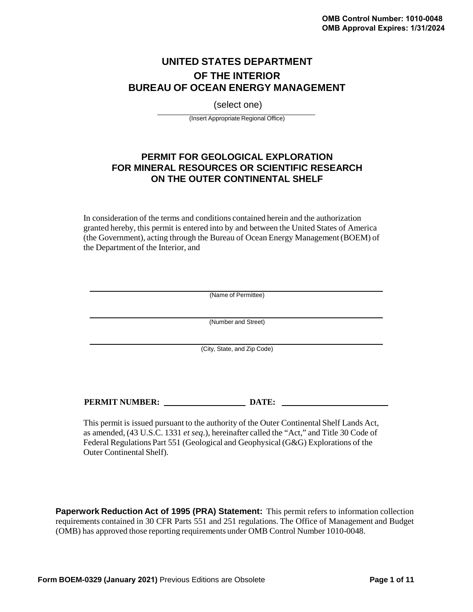# **UNITED STATES DEPARTMENT OF THE INTERIOR BUREAU OF OCEAN ENERGY MANAGEMENT**

(select one)

(Insert Appropriate Regional Office)

# **PERMIT FOR GEOLOGICAL EXPLORATION FOR MINERAL RESOURCES OR SCIENTIFIC RESEARCH ON THE OUTER CONTINENTAL SHELF**

In consideration of the terms and conditions contained herein and the authorization granted hereby, this permit is entered into by and between the United States of America (the Government), acting through the Bureau of Ocean Energy Management (BOEM) of the Department of the Interior, and

|                       | (Name of Permittee)         |  |
|-----------------------|-----------------------------|--|
|                       | (Number and Street)         |  |
|                       |                             |  |
|                       | (City, State, and Zip Code) |  |
|                       |                             |  |
|                       |                             |  |
| <b>PERMIT NUMBER:</b> | DATE:                       |  |

This permit is issued pursuant to the authority of the Outer Continental Shelf Lands Act, as amended, (43 U.S.C. 1331 *et seq*.), hereinafter called the "Act," and Title 30 Code of Federal Regulations Part 551 (Geological and Geophysical (G&G) Explorations of the Outer Continental Shelf).

**Paperwork Reduction Act of 1995 (PRA) Statement:** This permit refers to information collection requirements contained in 30 CFR Parts 551 and 251 regulations. The Office of Management and Budget (OMB) has approved those reporting requirements under OMB Control Number 1010-0048.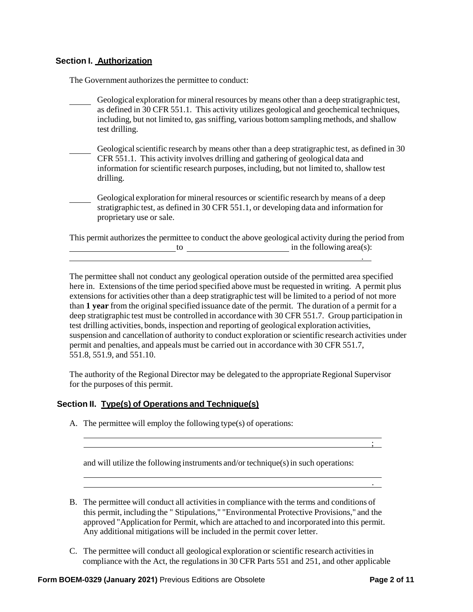# **Section I. Authorization**

The Government authorizes the permittee to conduct:

- Geological exploration for mineral resources by means other than a deep stratigraphic test, as defined in 30 CFR 551.1. This activity utilizes geological and geochemical techniques, including, but not limited to, gas sniffing, various bottom sampling methods, and shallow test drilling.
- Geological scientific research by means other than a deep stratigraphic test, as defined in 30 CFR 551.1. This activity involves drilling and gathering of geological data and information for scientific research purposes, including, but not limited to, shallow test drilling.
- Geological exploration for mineral resources or scientific research by means of a deep stratigraphic test, as defined in 30 CFR 551.1, or developing data and information for proprietary use or sale.

This permit authorizes the permittee to conduct the above geological activity during the period from  $\begin{array}{c|c}\n \hline\n \end{array}$  to  $\begin{array}{c}\n \hline\n \end{array}$  in the following area(s): .

The permittee shall not conduct any geological operation outside of the permitted area specified here in. Extensions of the time period specified above must be requested in writing. A permit plus extensions for activities other than a deep stratigraphic test will be limited to a period of not more than 1 year from the original specified issuance date of the permit. The duration of a permit for a deep stratigraphic test must be controlled in accordance with 30 CFR 551.7. Group participation in test drilling activities, bonds, inspection and reporting of geological exploration activities, suspension and cancellation of authority to conduct exploration or scientific research activities under permit and penalties, and appeals must be carried out in accordance with 30 CFR 551.7, 551.8, 551.9, and 551.10.

The authority of the Regional Director may be delegated to the appropriate Regional Supervisor for the purposes of this permit.

#### **Section II. Type(s) of Operations and Technique(s)**

A. The permittee will employ the following type(s) of operations:

and will utilize the following instruments and/or technique(s)in such operations:

- B. The permittee will conduct all activitiesin compliance with the terms and conditions of this permit, including the " Stipulations," "Environmental Protective Provisions," and the approved "Application for Permit, which are attached to and incorporated into this permit. Any additional mitigations will be included in the permit cover letter.
- C. The permittee will conduct all geological exploration or scientific research activities in compliance with the Act, the regulationsin 30 CFR Parts 551 and 251, and other applicable

;

.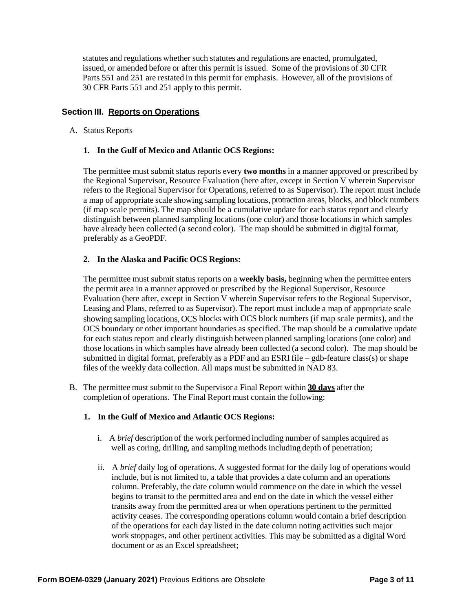statutes and regulations whether such statutes and regulations are enacted, promulgated, issued, or amended before or after this permit is issued. Some of the provisions of 30 CFR Parts 551 and 251 are restated in this permit for emphasis. However, all of the provisions of 30 CFR Parts 551 and 251 apply to this permit.

### **Section III. Reports on Operations**

#### A. Status Reports

#### **1. In the Gulf of Mexico and Atlantic OCS Regions:**

The permittee must submit status reports every **two months** in a manner approved or prescribed by the Regional Supervisor, Resource Evaluation (here after, except in Section V wherein Supervisor refers to the Regional Supervisor for Operations, referred to as Supervisor). The report must include a map of appropriate scale showing sampling locations, protraction areas, blocks, and block numbers (if map scale permits). The map should be a cumulative update for each status report and clearly distinguish between planned sampling locations (one color) and those locations in which samples have already been collected (a second color). The map should be submitted in digital format, preferably as a GeoPDF.

#### **2. In the Alaska and Pacific OCS Regions:**

The permittee must submit status reports on a **weekly basis,** beginning when the permittee enters the permit area in a manner approved or prescribed by the Regional Supervisor, Resource Evaluation (here after, except in Section V wherein Supervisor refers to the Regional Supervisor, Leasing and Plans, referred to as Supervisor). The report must include a map of appropriate scale showing sampling locations, OCS blocks with OCS block numbers (if map scale permits), and the OCS boundary or other important boundaries as specified. The map should be a cumulative update for each status report and clearly distinguish between planned sampling locations (one color) and those locations in which samples have already been collected (a second color). The map should be submitted in digital format, preferably as a PDF and an ESRI file – gdb-feature class(s) or shape files of the weekly data collection. All maps must be submitted in NAD 83.

B. The permittee must submit to the Supervisor a Final Report within **30 days** after the completion of operations. The Final Report must contain the following:

#### **1. In the Gulf of Mexico and Atlantic OCS Regions:**

- i. A *brief* description of the work performed including number of samples acquired as well as coring, drilling, and sampling methods including depth of penetration;
- ii. A *brief* daily log of operations. A suggested format for the daily log of operations would include, but is not limited to, a table that provides a date column and an operations column. Preferably, the date column would commence on the date in which the vessel begins to transit to the permitted area and end on the date in which the vessel either transits away from the permitted area or when operations pertinent to the permitted activity ceases. The corresponding operations column would contain a brief description of the operations for each day listed in the date column noting activities such major work stoppages, and other pertinent activities. This may be submitted as a digital Word document or as an Excel spreadsheet;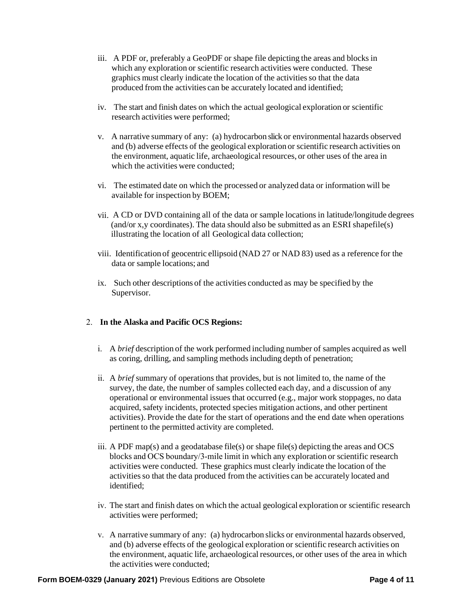- iii. A PDF or, preferably a GeoPDF or shape file depicting the areas and blocks in which any exploration or scientific research activities were conducted. These graphics must clearly indicate the location of the activities so that the data produced from the activities can be accurately located and identified;
- iv. The start and finish dates on which the actual geological exploration or scientific research activities were performed;
- v. A narrative summary of any: (a) hydrocarbon slick or environmental hazards observed and (b) adverse effects of the geological exploration or scientific research activities on the environment, aquatic life, archaeological resources, or other uses of the area in which the activities were conducted:
- vi. The estimated date on which the processed or analyzed data or information will be available for inspection by BOEM;
- vii. A CD or DVD containing all of the data or sample locations in latitude/longitude degrees (and/or x,y coordinates). The data should also be submitted as an ESRI shapefile(s) illustrating the location of all Geological data collection;
- viii. Identification of geocentric ellipsoid (NAD 27 or NAD 83) used as a reference for the data or sample locations; and
- ix. Such other descriptions of the activities conducted as may be specified by the Supervisor.

### 2. **In the Alaska and Pacific OCS Regions:**

- i. A *brief* description of the work performed including number of samples acquired as well as coring, drilling, and sampling methods including depth of penetration;
- ii. A *brief* summary of operations that provides, but is not limited to, the name of the survey, the date, the number of samples collected each day, and a discussion of any operational or environmental issues that occurred (e.g., major work stoppages, no data acquired, safety incidents, protected species mitigation actions, and other pertinent activities). Provide the date for the start of operations and the end date when operations pertinent to the permitted activity are completed.
- iii. A PDF map(s) and a geodatabase file(s) or shape file(s) depicting the areas and OCS blocks and OCS boundary/3-mile limit in which any exploration or scientific research activities were conducted. These graphics must clearly indicate the location of the activities so that the data produced from the activities can be accurately located and identified;
- iv. The start and finish dates on which the actual geological exploration or scientific research activities were performed;
- v. A narrative summary of any: (a) hydrocarbon slicks or environmental hazards observed, and (b) adverse effects of the geological exploration or scientific research activities on the environment, aquatic life, archaeological resources, or other uses of the area in which the activities were conducted;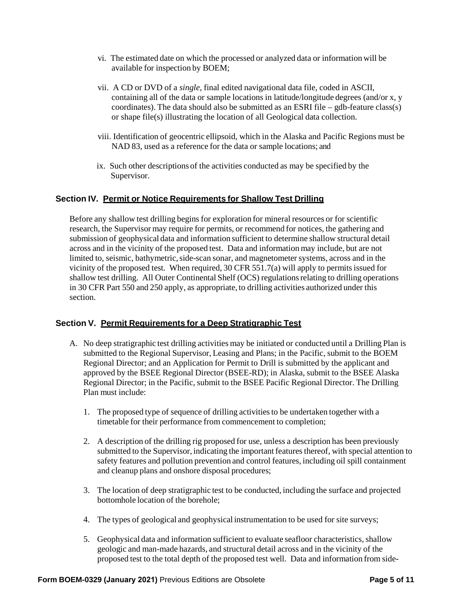- vi. The estimated date on which the processed or analyzed data or information will be available for inspection by BOEM;
- vii. A CD or DVD of a *single*, final edited navigational data file, coded in ASCII, containing all of the data or sample locations in latitude/longitude degrees (and/or x, y coordinates). The data should also be submitted as an ESRI file – gdb-feature class(s) or shape file(s) illustrating the location of all Geological data collection.
- viii. Identification of geocentric ellipsoid, which in the Alaska and Pacific Regions must be NAD 83, used as a reference for the data or sample locations; and
- ix. Such other descriptions of the activities conducted as may be specified by the Supervisor.

#### **Section IV. Permit or Notice Requirements for Shallow Test Drilling**

Before any shallow test drilling begins for exploration for mineral resources or for scientific research, the Supervisor may require for permits, or recommend for notices, the gathering and submission of geophysical data and information sufficient to determine shallow structural detail across and in the vicinity of the proposed test. Data and information may include, but are not limited to, seismic, bathymetric, side-scan sonar, and magnetometer systems, across and in the vicinity of the proposed test. When required,  $30$  CFR  $551.7(a)$  will apply to permits issued for shallow test drilling. All Outer Continental Shelf (OCS) regulations relating to drilling operations in 30 CFR Part 550 and 250 apply, as appropriate, to drilling activities authorized under this section.

#### **Section V. Permit Requirements for a Deep Stratigraphic Test**

- A. No deep stratigraphic test drilling activities may be initiated or conducted until a Drilling Plan is submitted to the Regional Supervisor, Leasing and Plans; in the Pacific, submit to the BOEM Regional Director; and an Application for Permit to Drill is submitted by the applicant and approved by the BSEE Regional Director (BSEE-RD); in Alaska, submit to the BSEE Alaska Regional Director; in the Pacific, submit to the BSEE Pacific Regional Director. The Drilling Plan must include:
	- 1. The proposed type of sequence of drilling activities to be undertaken together with a timetable for their performance from commencement to completion;
	- 2. A description of the drilling rig proposed for use, unless a description has been previously submitted to the Supervisor, indicating the important features thereof, with special attention to safety features and pollution prevention and control features, including oil spill containment and cleanup plans and onshore disposal procedures;
	- 3. The location of deep stratigraphic test to be conducted, including the surface and projected bottomhole location of the borehole;
	- 4. The types of geological and geophysical instrumentation to be used for site surveys;
	- 5. Geophysical data and information sufficient to evaluate seafloor characteristics, shallow geologic and man-made hazards, and structural detail across and in the vicinity of the proposed test to the total depth of the proposed test well. Data and information from side-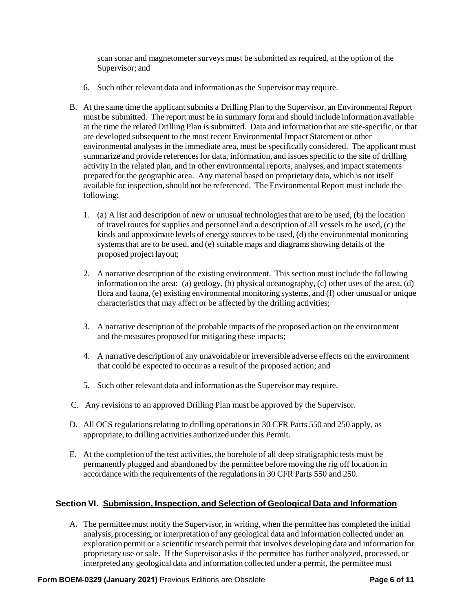scan sonar and magnetometer surveys must be submitted as required, at the option of the Supervisor; and

- 6. Such other relevant data and information as the Supervisor may require.
- B. At the same time the applicant submits a Drilling Plan to the Supervisor, an Environmental Report must be submitted. The report must be in summary form and should include information available at the time the related Drilling Plan is submitted. Data and information that are site-specific, or that are developed subsequent to the most recent Environmental Impact Statement or other environmental analysesin the immediate area, must be specifically considered. The applicant must summarize and provide references for data, information, and issues specific to the site of drilling activity in the related plan, and in other environmental reports, analyses, and impact statements prepared for the geographic area. Any material based on proprietary data, which is not itself available for inspection, should not be referenced. The Environmental Report must include the following:
	- 1. (a) A list and description of new or unusual technologies that are to be used, (b) the location of travel routes for supplies and personnel and a description of all vessels to be used, (c) the kinds and approximate levels of energy sourcesto be used, (d) the environmental monitoring systems that are to be used, and (e) suitable maps and diagrams showing details of the proposed project layout;
	- 2. A narrative description of the existing environment. This section must include the following information on the area: (a) geology, (b) physical oceanography, (c) other uses of the area, (d) flora and fauna, (e) existing environmental monitoring systems, and (f) other unusual or unique characteristics that may affect or be affected by the drilling activities;
	- 3. A narrative description of the probable impacts of the proposed action on the environment and the measures proposed for mitigating these impacts;
	- 4. A narrative description of any unavoidable or irreversible adverse effects on the environment that could be expected to occur as a result of the proposed action; and
	- 5. Such other relevant data and information as the Supervisor may require.
- C. Any revisions to an approved Drilling Plan must be approved by the Supervisor.
- D. All OCS regulations relating to drilling operations in 30 CFR Parts 550 and 250 apply, as appropriate, to drilling activities authorized under this Permit.
- E. At the completion of the test activities, the borehole of all deep stratigraphic tests must be permanently plugged and abandoned by the permittee before moving the rig off location in accordance with the requirements of the regulations in 30 CFR Parts 550 and 250.

# **Section VI. Submission, Inspection, and Selection of Geological Data and Information**

A. The permittee must notify the Supervisor, in writing, when the permittee has completed the initial analysis, processing, or interpretation of any geological data and information collected under an exploration permit or a scientific research permit that involves developing data and information for proprietary use or sale. If the Supervisor asks if the permittee has further analyzed, processed, or interpreted any geological data and information collected under a permit, the permittee must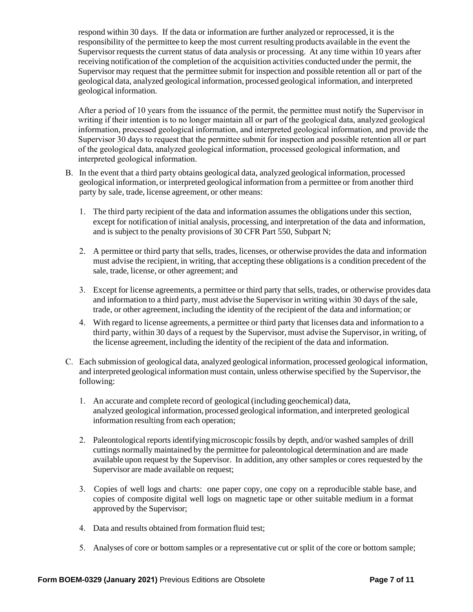respond within 30 days. If the data or information are further analyzed or reprocessed, it is the responsibility of the permittee to keep the most current resulting products available in the event the Supervisor requests the current status of data analysis or processing. At any time within 10 years after receiving notification of the completion of the acquisition activities conducted under the permit, the Supervisor may request that the permittee submit for inspection and possible retention all or part of the geological data, analyzed geological information, processed geological information, and interpreted geological information.

After a period of 10 years from the issuance of the permit, the permittee must notify the Supervisor in writing if their intention is to no longer maintain all or part of the geological data, analyzed geological information, processed geological information, and interpreted geological information, and provide the Supervisor 30 days to request that the permittee submit for inspection and possible retention all or part of the geological data, analyzed geological information, processed geological information, and interpreted geological information.

- B. In the event that a third party obtains geological data, analyzed geological information, processed geological information, or interpreted geological information from a permittee or from another third party by sale, trade, license agreement, or other means:
	- 1. The third party recipient of the data and information assumes the obligations under this section, except for notification of initial analysis, processing, and interpretation of the data and information, and is subject to the penalty provisions of 30 CFR Part 550, Subpart N;
	- 2. A permittee or third party that sells, trades, licenses, or otherwise provides the data and information must advise the recipient, in writing, that accepting these obligationsis a condition precedent of the sale, trade, license, or other agreement; and
	- 3. Except for license agreements, a permittee or third party that sells, trades, or otherwise provides data and information to a third party, must advise the Supervisor in writing within 30 days of the sale, trade, or other agreement, including the identity of the recipient of the data and information; or
	- 4. With regard to license agreements, a permittee or third party that licenses data and information to a third party, within 30 days of a request by the Supervisor, must advise the Supervisor, in writing, of the license agreement, including the identity of the recipient of the data and information.
- C. Each submission of geological data, analyzed geological information, processed geological information, and interpreted geological information must contain, unless otherwise specified by the Supervisor, the following:
	- 1. An accurate and complete record of geological (including geochemical) data, analyzed geological information, processed geological information, and interpreted geological information resulting from each operation;
	- 2. Paleontological reportsidentifying microscopic fossils by depth, and/or washed samples of drill cuttings normally maintained by the permittee for paleontological determination and are made available upon request by the Supervisor. In addition, any other samples or cores requested by the Supervisor are made available on request;
	- 3. Copies of well logs and charts: one paper copy, one copy on a reproducible stable base, and copies of composite digital well logs on magnetic tape or other suitable medium in a format approved by the Supervisor;
	- 4. Data and results obtained from formation fluid test;
	- 5. Analyses of core or bottom samples or a representative cut or split of the core or bottom sample;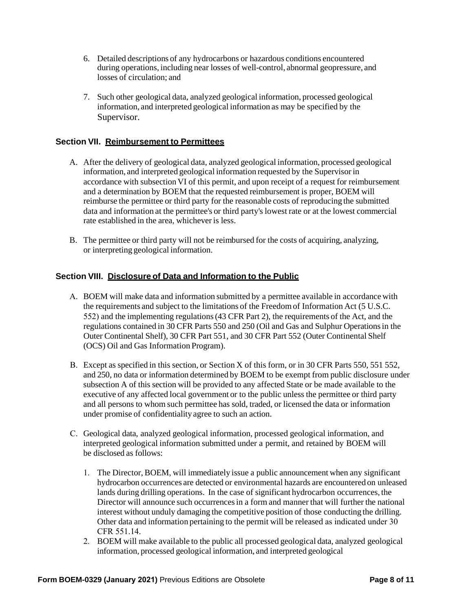- 6. Detailed descriptions of any hydrocarbons or hazardous conditions encountered during operations, including near losses of well-control, abnormal geopressure, and losses of circulation; and
- 7. Such other geological data, analyzed geological information, processed geological information, and interpreted geological information as may be specified by the Supervisor.

# **Section VII. Reimbursement to Permittees**

- A. After the delivery of geological data, analyzed geological information, processed geological information, and interpreted geological information requested by the Supervisor in accordance with subsection VI of this permit, and upon receipt of a request for reimbursement and a determination by BOEM that the requested reimbursement is proper, BOEM will reimburse the permittee or third party for the reasonable costs of reproducing the submitted data and information at the permittee's or third party's lowest rate or at the lowest commercial rate established in the area, whicheveris less.
- B. The permittee or third party will not be reimbursed for the costs of acquiring, analyzing, or interpreting geological information.

# **Section VIII. Disclosure of Data and Information to the Public**

- A. BOEM will make data and information submitted by a permittee available in accordance with the requirements and subject to the limitations of the Freedom of Information Act (5 U.S.C. 552) and the implementing regulations (43 CFR Part 2), the requirements of the Act, and the regulations contained in 30 CFR Parts 550 and 250 (Oil and Gas and Sulphur Operations in the Outer Continental Shelf), 30 CFR Part 551, and 30 CFR Part 552 (Outer Continental Shelf (OCS) Oil and Gas Information Program).
- B. Except as specified in this section, or Section X of this form, or in 30 CFR Parts 550, 551 552, and 250, no data or information determined by BOEM to be exempt from public disclosure under subsection A of this section will be provided to any affected State or be made available to the executive of any affected local government or to the public unless the permittee or third party and all persons to whom such permittee has sold, traded, or licensed the data or information under promise of confidentiality agree to such an action.
- C. Geological data, analyzed geological information, processed geological information, and interpreted geological information submitted under a permit, and retained by BOEM will be disclosed as follows:
	- 1. The Director, BOEM, will immediately issue a public announcement when any significant hydrocarbon occurrences are detected or environmental hazards are encountered on unleased lands during drilling operations. In the case of significant hydrocarbon occurrences, the Director will announce such occurrencesin a form and manner that will further the national interest without unduly damaging the competitive position of those conducting the drilling. Other data and information pertaining to the permit will be released as indicated under 30 CFR 551.14.
	- 2. BOEM will make available to the public all processed geological data, analyzed geological information, processed geological information, and interpreted geological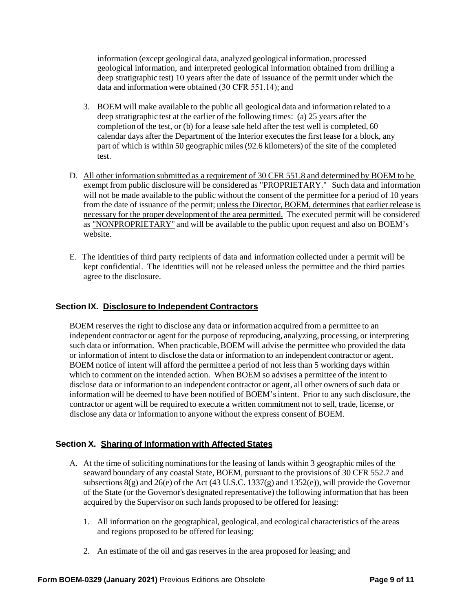information (except geological data, analyzed geological information, processed geological information, and interpreted geological information obtained from drilling a deep stratigraphic test) 10 years after the date of issuance of the permit under which the data and information were obtained (30 CFR 551.14); and

- 3. BOEM will make available to the public all geological data and information related to a deep stratigraphic test at the earlier of the following times: (a) 25 years after the completion of the test, or (b) for a lease sale held after the test well is completed, 60 calendar days after the Department of the Interior executes the first lease for a block, any part of which is within 50 geographic miles (92.6 kilometers) of the site of the completed test.
- D. All other information submitted as a requirement of 30 CFR 551.8 and determined by BOEM to be exempt from public disclosure will be considered as "PROPRIETARY." Such data and information will not be made available to the public without the consent of the permittee for a period of 10 years from the date of issuance of the permit; unless the Director, BOEM, determines that earlier release is necessary for the proper development of the area permitted. The executed permit will be considered as "NONPROPRIETARY" and will be available to the public upon request and also on BOEM's website.
- E. The identities of third party recipients of data and information collected under a permit will be kept confidential. The identities will not be released unless the permittee and the third parties agree to the disclosure.

#### **Section IX. Disclosure to Independent Contractors**

BOEM reserves the right to disclose any data or information acquired from a permittee to an independent contractor or agent for the purpose of reproducing, analyzing, processing, or interpreting such data or information. When practicable, BOEM will advise the permittee who provided the data or information of intent to disclose the data or information to an independent contractor or agent. BOEM notice of intent will afford the permittee a period of not less than 5 working days within which to comment on the intended action. When BOEM so advises a permittee of the intent to disclose data or information to an independent contractor or agent, all other owners of such data or information will be deemed to have been notified of BOEM's intent. Prior to any such disclosure, the contractor or agent will be required to execute a written commitment not to sell, trade, license, or disclose any data or information to anyone without the express consent of BOEM.

#### **Section X. Sharing of Information with Affected States**

- A. At the time of soliciting nominations for the leasing of lands within 3 geographic miles of the seaward boundary of any coastal State, BOEM, pursuant to the provisions of 30 CFR 552.7 and subsections 8(g) and 26(e) of the Act (43 U.S.C. 1337(g) and 1352(e)), will provide the Governor of the State (or the Governor's designated representative) the following information that has been acquired by the Supervisor on such lands proposed to be offered for leasing:
	- 1. All information on the geographical, geological, and ecological characteristics of the areas and regions proposed to be offered for leasing;
	- 2. An estimate of the oil and gas reserves in the area proposed for leasing; and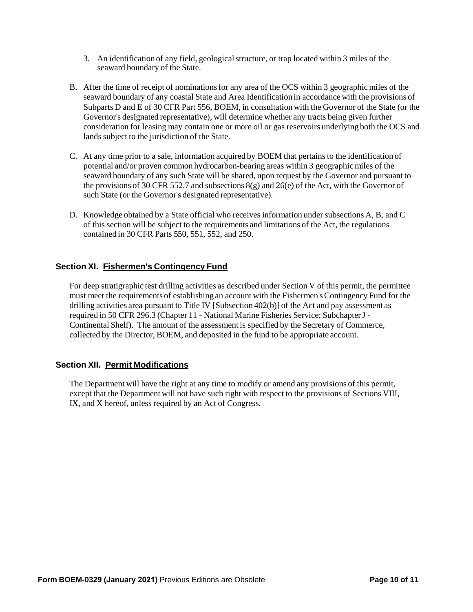- 3. An identification of any field, geologicalstructure, or trap located within 3 miles of the seaward boundary of the State.
- B. After the time of receipt of nominations for any area of the OCS within 3 geographic miles of the seaward boundary of any coastal State and Area Identification in accordance with the provisions of Subparts D and E of 30 CFR Part 556, BOEM, in consultation with the Governor of the State (or the Governor's designated representative), will determine whether any tracts being given further consideration for leasing may contain one or more oil or gas reservoirs underlying both the OCS and lands subject to the jurisdiction of the State.
- C. At any time prior to a sale, information acquired by BOEM that pertains to the identification of potential and/or proven common hydrocarbon-bearing areas within 3 geographic miles of the seaward boundary of any such State will be shared, upon request by the Governor and pursuant to the provisions of 30 CFR 552.7 and subsections  $8(g)$  and  $26(e)$  of the Act, with the Governor of such State (or the Governor's designated representative).
- D. Knowledge obtained by a State official who receives information under subsections A, B, and C of this section will be subject to the requirements and limitations of the Act, the regulations contained in 30 CFR Parts 550, 551, 552, and 250.

# **Section XI. Fishermen's Contingency Fund**

For deep stratigraphic test drilling activities as described under Section V of this permit, the permittee must meet the requirements of establishing an account with the Fishermen's Contingency Fund for the drilling activities area pursuant to Title IV [Subsection 402(b)] of the Act and pay assessment as required in 50 CFR 296.3 (Chapter 11 - National Marine Fisheries Service; Subchapter J - Continental Shelf). The amount of the assessment is specified by the Secretary of Commerce, collected by the Director, BOEM, and deposited in the fund to be appropriate account.

#### **Section XII. Permit Modifications**

The Department will have the right at any time to modify or amend any provisions of this permit, except that the Department will not have such right with respect to the provisions of Sections VIII, IX, and X hereof, unless required by an Act of Congress.